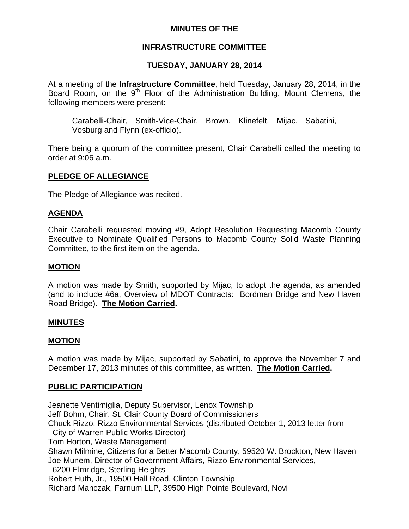# **MINUTES OF THE**

# **INFRASTRUCTURE COMMITTEE**

# **TUESDAY, JANUARY 28, 2014**

At a meeting of the **Infrastructure Committee**, held Tuesday, January 28, 2014, in the Board Room, on the 9<sup>th</sup> Floor of the Administration Building, Mount Clemens, the following members were present:

Carabelli-Chair, Smith-Vice-Chair, Brown, Klinefelt, Mijac, Sabatini, Vosburg and Flynn (ex-officio).

There being a quorum of the committee present, Chair Carabelli called the meeting to order at 9:06 a.m.

# **PLEDGE OF ALLEGIANCE**

The Pledge of Allegiance was recited.

#### **AGENDA**

Chair Carabelli requested moving #9, Adopt Resolution Requesting Macomb County Executive to Nominate Qualified Persons to Macomb County Solid Waste Planning Committee, to the first item on the agenda.

### **MOTION**

A motion was made by Smith, supported by Mijac, to adopt the agenda, as amended (and to include #6a, Overview of MDOT Contracts: Bordman Bridge and New Haven Road Bridge). **The Motion Carried.** 

#### **MINUTES**

#### **MOTION**

A motion was made by Mijac, supported by Sabatini, to approve the November 7 and December 17, 2013 minutes of this committee, as written. **The Motion Carried.** 

#### **PUBLIC PARTICIPATION**

Jeanette Ventimiglia, Deputy Supervisor, Lenox Township Jeff Bohm, Chair, St. Clair County Board of Commissioners Chuck Rizzo, Rizzo Environmental Services (distributed October 1, 2013 letter from City of Warren Public Works Director) Tom Horton, Waste Management Shawn Milmine, Citizens for a Better Macomb County, 59520 W. Brockton, New Haven Joe Munem, Director of Government Affairs, Rizzo Environmental Services, 6200 Elmridge, Sterling Heights Robert Huth, Jr., 19500 Hall Road, Clinton Township Richard Manczak, Farnum LLP, 39500 High Pointe Boulevard, Novi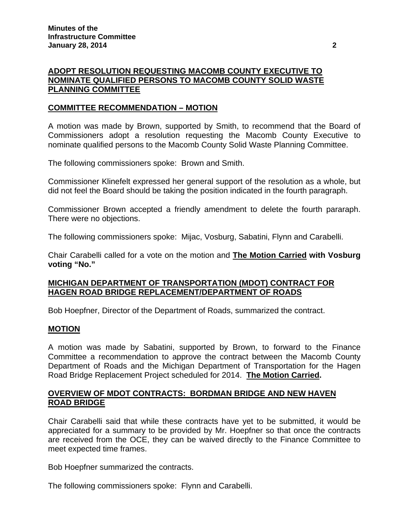# **ADOPT RESOLUTION REQUESTING MACOMB COUNTY EXECUTIVE TO NOMINATE QUALIFIED PERSONS TO MACOMB COUNTY SOLID WASTE PLANNING COMMITTEE**

# **COMMITTEE RECOMMENDATION – MOTION**

A motion was made by Brown, supported by Smith, to recommend that the Board of Commissioners adopt a resolution requesting the Macomb County Executive to nominate qualified persons to the Macomb County Solid Waste Planning Committee.

The following commissioners spoke: Brown and Smith.

Commissioner Klinefelt expressed her general support of the resolution as a whole, but did not feel the Board should be taking the position indicated in the fourth paragraph.

Commissioner Brown accepted a friendly amendment to delete the fourth pararaph. There were no objections.

The following commissioners spoke: Mijac, Vosburg, Sabatini, Flynn and Carabelli.

Chair Carabelli called for a vote on the motion and **The Motion Carried with Vosburg voting "No."** 

# **MICHIGAN DEPARTMENT OF TRANSPORTATION (MDOT) CONTRACT FOR HAGEN ROAD BRIDGE REPLACEMENT/DEPARTMENT OF ROADS**

Bob Hoepfner, Director of the Department of Roads, summarized the contract.

# **MOTION**

A motion was made by Sabatini, supported by Brown, to forward to the Finance Committee a recommendation to approve the contract between the Macomb County Department of Roads and the Michigan Department of Transportation for the Hagen Road Bridge Replacement Project scheduled for 2014. **The Motion Carried.** 

# **OVERVIEW OF MDOT CONTRACTS: BORDMAN BRIDGE AND NEW HAVEN ROAD BRIDGE**

Chair Carabelli said that while these contracts have yet to be submitted, it would be appreciated for a summary to be provided by Mr. Hoepfner so that once the contracts are received from the OCE, they can be waived directly to the Finance Committee to meet expected time frames.

Bob Hoepfner summarized the contracts.

The following commissioners spoke: Flynn and Carabelli.